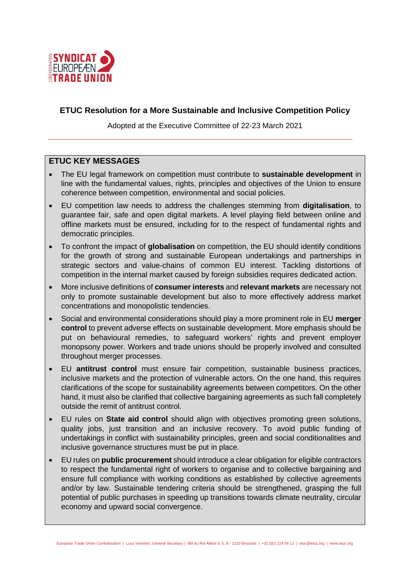

# **ETUC Resolution for a More Sustainable and Inclusive Competition Policy**

Adopted at the Executive Committee of 22-23 March 2021

# **ETUC KEY MESSAGES**

- The EU legal framework on competition must contribute to **sustainable development** in line with the fundamental values, rights, principles and objectives of the Union to ensure coherence between competition, environmental and social policies.
- EU competition law needs to address the challenges stemming from **digitalisation**, to guarantee fair, safe and open digital markets. A level playing field between online and offline markets must be ensured, including for to the respect of fundamental rights and democratic principles.
- To confront the impact of **globalisation** on competition, the EU should identify conditions for the growth of strong and sustainable European undertakings and partnerships in strategic sectors and value-chains of common EU interest. Tackling distortions of competition in the internal market caused by foreign subsidies requires dedicated action.
- More inclusive definitions of **consumer interests** and **relevant markets** are necessary not only to promote sustainable development but also to more effectively address market concentrations and monopolistic tendencies.
- Social and environmental considerations should play a more prominent role in EU **merger control** to prevent adverse effects on sustainable development. More emphasis should be put on behavioural remedies, to safeguard workers' rights and prevent employer monopsony power. Workers and trade unions should be properly involved and consulted throughout merger processes.
- EU **antitrust control** must ensure fair competition, sustainable business practices, inclusive markets and the protection of vulnerable actors. On the one hand, this requires clarifications of the scope for sustainability agreements between competitors. On the other hand, it must also be clarified that collective bargaining agreements as such fall completely outside the remit of antitrust control.
- EU rules on **State aid control** should align with objectives promoting green solutions, quality jobs, just transition and an inclusive recovery. To avoid public funding of undertakings in conflict with sustainability principles, green and social conditionalities and inclusive governance structures must be put in place.
- EU rules on **public procurement** should introduce a clear obligation for eligible contractors to respect the fundamental right of workers to organise and to collective bargaining and ensure full compliance with working conditions as established by collective agreements and/or by law. Sustainable tendering criteria should be strengthened, grasping the full potential of public purchases in speeding up transitions towards climate neutrality, circular economy and upward social convergence.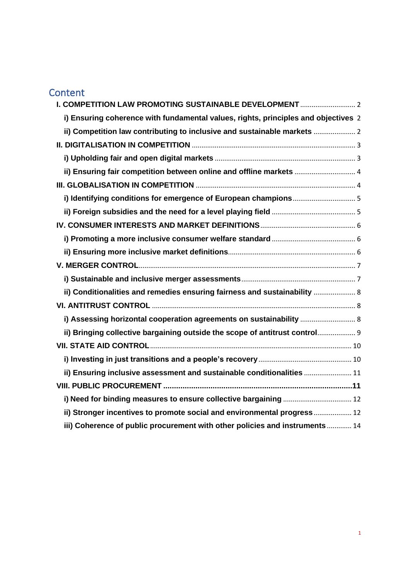# **Content**

| I. COMPETITION LAW PROMOTING SUSTAINABLE DEVELOPMENT  2                            |  |
|------------------------------------------------------------------------------------|--|
| i) Ensuring coherence with fundamental values, rights, principles and objectives 2 |  |
| ii) Competition law contributing to inclusive and sustainable markets              |  |
|                                                                                    |  |
|                                                                                    |  |
| ii) Ensuring fair competition between online and offline markets  4                |  |
|                                                                                    |  |
|                                                                                    |  |
|                                                                                    |  |
|                                                                                    |  |
|                                                                                    |  |
|                                                                                    |  |
|                                                                                    |  |
|                                                                                    |  |
| ii) Conditionalities and remedies ensuring fairness and sustainability  8          |  |
|                                                                                    |  |
|                                                                                    |  |
| ii) Bringing collective bargaining outside the scope of antitrust control          |  |
|                                                                                    |  |
|                                                                                    |  |
| ii) Ensuring inclusive assessment and sustainable conditionalities  11             |  |
|                                                                                    |  |
|                                                                                    |  |
| ii) Stronger incentives to promote social and environmental progress 12            |  |
| iii) Coherence of public procurement with other policies and instruments  14       |  |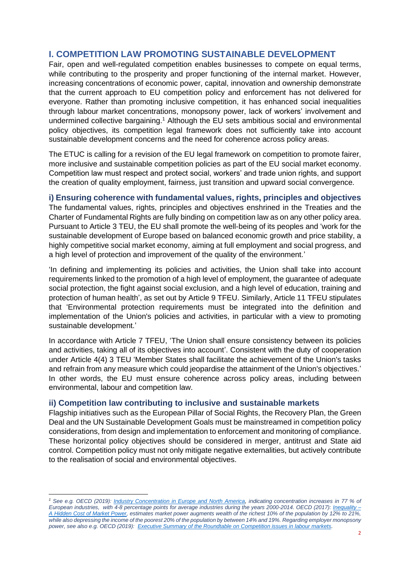# <span id="page-2-0"></span>**I. COMPETITION LAW PROMOTING SUSTAINABLE DEVELOPMENT**

Fair, open and well-regulated competition enables businesses to compete on equal terms, while contributing to the prosperity and proper functioning of the internal market. However, increasing concentrations of economic power, capital, innovation and ownership demonstrate that the current approach to EU competition policy and enforcement has not delivered for everyone. Rather than promoting inclusive competition, it has enhanced social inequalities through labour market concentrations, monopsony power, lack of workers' involvement and undermined collective bargaining.<sup>1</sup> Although the EU sets ambitious social and environmental policy objectives, its competition legal framework does not sufficiently take into account sustainable development concerns and the need for coherence across policy areas.

The ETUC is calling for a revision of the EU legal framework on competition to promote fairer, more inclusive and sustainable competition policies as part of the EU social market economy. Competition law must respect and protect social, workers' and trade union rights, and support the creation of quality employment, fairness, just transition and upward social convergence.

# <span id="page-2-1"></span>**i) Ensuring coherence with fundamental values, rights, principles and objectives**

The fundamental values, rights, principles and objectives enshrined in the Treaties and the Charter of Fundamental Rights are fully binding on competition law as on any other policy area. Pursuant to Article 3 TEU, the EU shall promote the well-being of its peoples and 'work for the sustainable development of Europe based on balanced economic growth and price stability, a highly competitive social market economy, aiming at full employment and social progress, and a high level of protection and improvement of the quality of the environment.'

'In defining and implementing its policies and activities, the Union shall take into account requirements linked to the promotion of a high level of employment, the guarantee of adequate social protection, the fight against social exclusion, and a high level of education, training and protection of human health', as set out by Article 9 TFEU. Similarly, Article 11 TFEU stipulates that 'Environmental protection requirements must be integrated into the definition and implementation of the Union's policies and activities, in particular with a view to promoting sustainable development.'

In accordance with Article 7 TFEU, 'The Union shall ensure consistency between its policies and activities, taking all of its objectives into account'. Consistent with the duty of cooperation under Article 4(4) 3 TEU 'Member States shall facilitate the achievement of the Union's tasks and refrain from any measure which could jeopardise the attainment of the Union's objectives.' In other words, the EU must ensure coherence across policy areas, including between environmental, labour and competition law.

### <span id="page-2-2"></span>**ii) Competition law contributing to inclusive and sustainable markets**

Flagship initiatives such as the European Pillar of Social Rights, the Recovery Plan, the Green Deal and the UN Sustainable Development Goals must be mainstreamed in competition policy considerations, from design and implementation to enforcement and monitoring of compliance. These horizontal policy objectives should be considered in merger, antitrust and State aid control. Competition policy must not only mitigate negative externalities, but actively contribute to the realisation of social and environmental objectives.

*<sup>1</sup> See e.g. OECD (2019): [Industry Concentration in Europe and North America,](https://www.sipotra.it/wp-content/uploads/2019/03/INDUSTRY-CONCENTRATION-IN-EUROPE-AND-NORTH-AMERICA.pdf) indicating concentration increases in 77 % of European industries, with 4-8 percentage points for average industries during the years 2000-2014. OECD (2017): [Inequality –](https://www.oecd.org/daf/competition/Inequality-hidden-cost-market-power-2017.pdf) [A Hidden Cost of Market Power,](https://www.oecd.org/daf/competition/Inequality-hidden-cost-market-power-2017.pdf) estimates market power augments wealth of the richest 10% of the population by 12% to 21%, while also depressing the income of the poorest 20% of the population by between 14% and 19%. Regarding employer monopsony power, see also e.g. OECD (2019): [Executive Summary of the Roundtable on Competition issues in labour markets.](https://one.oecd.org/document/DAF/COMP/M(2019)1/ANN2/FINAL/en/pdf)*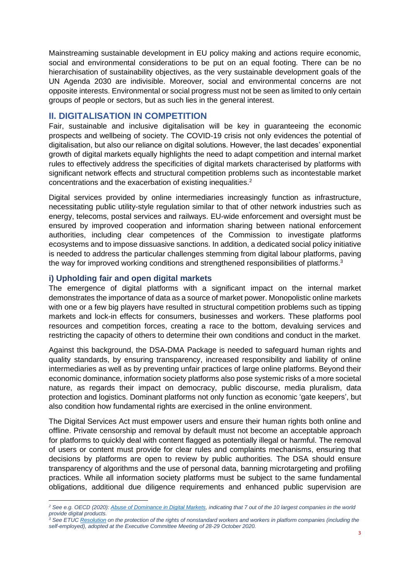Mainstreaming sustainable development in EU policy making and actions require economic, social and environmental considerations to be put on an equal footing. There can be no hierarchisation of sustainability objectives, as the very sustainable development goals of the UN Agenda 2030 are indivisible. Moreover, social and environmental concerns are not opposite interests. Environmental or social progress must not be seen as limited to only certain groups of people or sectors, but as such lies in the general interest.

# <span id="page-3-0"></span>**II. DIGITALISATION IN COMPETITION**

Fair, sustainable and inclusive digitalisation will be key in guaranteeing the economic prospects and wellbeing of society. The COVID-19 crisis not only evidences the potential of digitalisation, but also our reliance on digital solutions. However, the last decades' exponential growth of digital markets equally highlights the need to adapt competition and internal market rules to effectively address the specificities of digital markets characterised by platforms with significant network effects and structural competition problems such as incontestable market concentrations and the exacerbation of existing inequalities.<sup>2</sup>

Digital services provided by online intermediaries increasingly function as infrastructure, necessitating public utility-style regulation similar to that of other network industries such as energy, telecoms, postal services and railways. EU-wide enforcement and oversight must be ensured by improved cooperation and information sharing between national enforcement authorities, including clear competences of the Commission to investigate platforms ecosystems and to impose dissuasive sanctions. In addition, a dedicated social policy initiative is needed to address the particular challenges stemming from digital labour platforms, paving the way for improved working conditions and strengthened responsibilities of platforms.<sup>3</sup>

### <span id="page-3-1"></span>**i) Upholding fair and open digital markets**

The emergence of digital platforms with a significant impact on the internal market demonstrates the importance of data as a source of market power. Monopolistic online markets with one or a few big players have resulted in structural competition problems such as tipping markets and lock-in effects for consumers, businesses and workers. These platforms pool resources and competition forces, creating a race to the bottom, devaluing services and restricting the capacity of others to determine their own conditions and conduct in the market.

Against this background, the DSA-DMA Package is needed to safeguard human rights and quality standards, by ensuring transparency, increased responsibility and liability of online intermediaries as well as by preventing unfair practices of large online platforms. Beyond their economic dominance, information society platforms also pose systemic risks of a more societal nature, as regards their impact on democracy, public discourse, media pluralism, data protection and logistics. Dominant platforms not only function as economic 'gate keepers', but also condition how fundamental rights are exercised in the online environment.

The Digital Services Act must empower users and ensure their human rights both online and offline. Private censorship and removal by default must not become an acceptable approach for platforms to quickly deal with content flagged as potentially illegal or harmful. The removal of users or content must provide for clear rules and complaints mechanisms, ensuring that decisions by platforms are open to review by public authorities. The DSA should ensure transparency of algorithms and the use of personal data, banning microtargeting and profiling practices. While all information society platforms must be subject to the same fundamental obligations, additional due diligence requirements and enhanced public supervision are

*<sup>2</sup> See e.g. OECD (2020): [Abuse of Dominance in Digital Markets,](http://www.oecd.org/daf/competition/abuse-of-dominance-in-digital-markets-2020.pdf) indicating that 7 out of the 10 largest companies in the world provide digital products.*

*<sup>3</sup> See ETU[C Resolution](https://www.etuc.org/system/files/document/file2020-11/EN%20ETUC%20Resolution%20on%20the%20protection%20of%20the%20rights%20of%20non-standard%20workers%20and%20workers%20in%20platform%20companies%20%28including%20the%20self-employed%29.pdf) on the protection of the rights of nonstandard workers and workers in platform companies (including the self-employed), adopted at the Executive Committee Meeting of 28-29 October 2020.*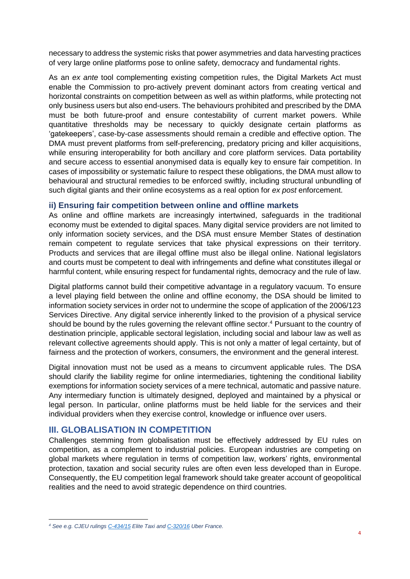necessary to address the systemic risks that power asymmetries and data harvesting practices of very large online platforms pose to online safety, democracy and fundamental rights.

As an *ex ante* tool complementing existing competition rules, the Digital Markets Act must enable the Commission to pro-actively prevent dominant actors from creating vertical and horizontal constraints on competition between as well as within platforms, while protecting not only business users but also end-users. The behaviours prohibited and prescribed by the DMA must be both future-proof and ensure contestability of current market powers. While quantitative thresholds may be necessary to quickly designate certain platforms as 'gatekeepers', case-by-case assessments should remain a credible and effective option. The DMA must prevent platforms from self-preferencing, predatory pricing and killer acquisitions, while ensuring interoperability for both ancillary and core platform services. Data portability and secure access to essential anonymised data is equally key to ensure fair competition. In cases of impossibility or systematic failure to respect these obligations, the DMA must allow to behavioural and structural remedies to be enforced swiftly, including structural unbundling of such digital giants and their online ecosystems as a real option for *ex post* enforcement.

### <span id="page-4-0"></span>**ii) Ensuring fair competition between online and offline markets**

As online and offline markets are increasingly intertwined, safeguards in the traditional economy must be extended to digital spaces. Many digital service providers are not limited to only information society services, and the DSA must ensure Member States of destination remain competent to regulate services that take physical expressions on their territory. Products and services that are illegal offline must also be illegal online. National legislators and courts must be competent to deal with infringements and define what constitutes illegal or harmful content, while ensuring respect for fundamental rights, democracy and the rule of law.

Digital platforms cannot build their competitive advantage in a regulatory vacuum. To ensure a level playing field between the online and offline economy, the DSA should be limited to information society services in order not to undermine the scope of application of the 2006/123 Services Directive. Any digital service inherently linked to the provision of a physical service should be bound by the rules governing the relevant offline sector. <sup>4</sup> Pursuant to the country of destination principle, applicable sectoral legislation, including social and labour law as well as relevant collective agreements should apply. This is not only a matter of legal certainty, but of fairness and the protection of workers, consumers, the environment and the general interest.

Digital innovation must not be used as a means to circumvent applicable rules. The DSA should clarify the liability regime for online intermediaries, tightening the conditional liability exemptions for information society services of a mere technical, automatic and passive nature. Any intermediary function is ultimately designed, deployed and maintained by a physical or legal person. In particular, online platforms must be held liable for the services and their individual providers when they exercise control, knowledge or influence over users.

### <span id="page-4-1"></span>**III. GLOBALISATION IN COMPETITION**

Challenges stemming from globalisation must be effectively addressed by EU rules on competition, as a complement to industrial policies. European industries are competing on global markets where regulation in terms of competition law, workers' rights, environmental protection, taxation and social security rules are often even less developed than in Europe. Consequently, the EU competition legal framework should take greater account of geopolitical realities and the need to avoid strategic dependence on third countries.

*<sup>4</sup> See e.g. CJEU rulings [C-434/15](http://curia.europa.eu/juris/liste.jsf?num=C-434/15) Elite Taxi an[d C-320/16](http://curia.europa.eu/juris/liste.jsf?num=C-320/16) Uber France.*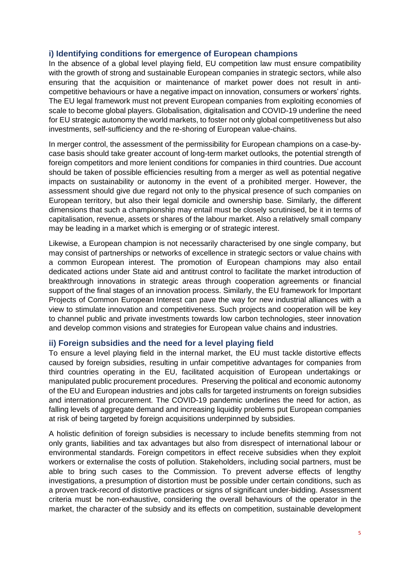### <span id="page-5-0"></span>**i) Identifying conditions for emergence of European champions**

In the absence of a global level playing field, EU competition law must ensure compatibility with the growth of strong and sustainable European companies in strategic sectors, while also ensuring that the acquisition or maintenance of market power does not result in anticompetitive behaviours or have a negative impact on innovation, consumers or workers' rights. The EU legal framework must not prevent European companies from exploiting economies of scale to become global players. Globalisation, digitalisation and COVID-19 underline the need for EU strategic autonomy the world markets, to foster not only global competitiveness but also investments, self-sufficiency and the re-shoring of European value-chains.

In merger control, the assessment of the permissibility for European champions on a case-bycase basis should take greater account of long-term market outlooks, the potential strength of foreign competitors and more lenient conditions for companies in third countries. Due account should be taken of possible efficiencies resulting from a merger as well as potential negative impacts on sustainability or autonomy in the event of a prohibited merger. However, the assessment should give due regard not only to the physical presence of such companies on European territory, but also their legal domicile and ownership base. Similarly, the different dimensions that such a championship may entail must be closely scrutinised, be it in terms of capitalisation, revenue, assets or shares of the labour market. Also a relatively small company may be leading in a market which is emerging or of strategic interest.

Likewise, a European champion is not necessarily characterised by one single company, but may consist of partnerships or networks of excellence in strategic sectors or value chains with a common European interest. The promotion of European champions may also entail dedicated actions under State aid and antitrust control to facilitate the market introduction of breakthrough innovations in strategic areas through cooperation agreements or financial support of the final stages of an innovation process. Similarly, the EU framework for Important Projects of Common European Interest can pave the way for new industrial alliances with a view to stimulate innovation and competitiveness. Such projects and cooperation will be key to channel public and private investments towards low carbon technologies, steer innovation and develop common visions and strategies for European value chains and industries.

### <span id="page-5-1"></span>**ii) Foreign subsidies and the need for a level playing field**

To ensure a level playing field in the internal market, the EU must tackle distortive effects caused by foreign subsidies, resulting in unfair competitive advantages for companies from third countries operating in the EU, facilitated acquisition of European undertakings or manipulated public procurement procedures. Preserving the political and economic autonomy of the EU and European industries and jobs calls for targeted instruments on foreign subsidies and international procurement. The COVID-19 pandemic underlines the need for action, as falling levels of aggregate demand and increasing liquidity problems put European companies at risk of being targeted by foreign acquisitions underpinned by subsidies.

A holistic definition of foreign subsidies is necessary to include benefits stemming from not only grants, liabilities and tax advantages but also from disrespect of international labour or environmental standards. Foreign competitors in effect receive subsidies when they exploit workers or externalise the costs of pollution. Stakeholders, including social partners, must be able to bring such cases to the Commission. To prevent adverse effects of lengthy investigations, a presumption of distortion must be possible under certain conditions, such as a proven track-record of distortive practices or signs of significant under-bidding. Assessment criteria must be non-exhaustive, considering the overall behaviours of the operator in the market, the character of the subsidy and its effects on competition, sustainable development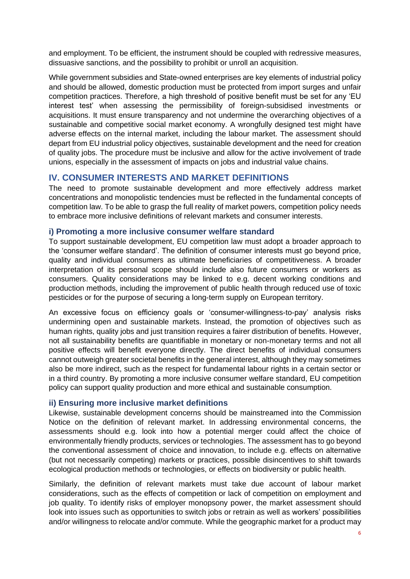and employment. To be efficient, the instrument should be coupled with redressive measures, dissuasive sanctions, and the possibility to prohibit or unroll an acquisition.

While government subsidies and State-owned enterprises are key elements of industrial policy and should be allowed, domestic production must be protected from import surges and unfair competition practices. Therefore, a high threshold of positive benefit must be set for any 'EU interest test' when assessing the permissibility of foreign-subsidised investments or acquisitions. It must ensure transparency and not undermine the overarching objectives of a sustainable and competitive social market economy. A wrongfully designed test might have adverse effects on the internal market, including the labour market. The assessment should depart from EU industrial policy objectives, sustainable development and the need for creation of quality jobs. The procedure must be inclusive and allow for the active involvement of trade unions, especially in the assessment of impacts on jobs and industrial value chains.

# <span id="page-6-0"></span>**IV. CONSUMER INTERESTS AND MARKET DEFINITIONS**

The need to promote sustainable development and more effectively address market concentrations and monopolistic tendencies must be reflected in the fundamental concepts of competition law. To be able to grasp the full reality of market powers, competition policy needs to embrace more inclusive definitions of relevant markets and consumer interests.

### <span id="page-6-1"></span>**i) Promoting a more inclusive consumer welfare standard**

To support sustainable development, EU competition law must adopt a broader approach to the 'consumer welfare standard'. The definition of consumer interests must go beyond price, quality and individual consumers as ultimate beneficiaries of competitiveness. A broader interpretation of its personal scope should include also future consumers or workers as consumers. Quality considerations may be linked to e.g. decent working conditions and production methods, including the improvement of public health through reduced use of toxic pesticides or for the purpose of securing a long-term supply on European territory.

An excessive focus on efficiency goals or 'consumer-willingness-to-pay' analysis risks undermining open and sustainable markets. Instead, the promotion of objectives such as human rights, quality jobs and just transition requires a fairer distribution of benefits. However, not all sustainability benefits are quantifiable in monetary or non-monetary terms and not all positive effects will benefit everyone directly. The direct benefits of individual consumers cannot outweigh greater societal benefits in the general interest, although they may sometimes also be more indirect, such as the respect for fundamental labour rights in a certain sector or in a third country. By promoting a more inclusive consumer welfare standard, EU competition policy can support quality production and more ethical and sustainable consumption.

### <span id="page-6-2"></span>**ii) Ensuring more inclusive market definitions**

Likewise, sustainable development concerns should be mainstreamed into the Commission Notice on the definition of relevant market. In addressing environmental concerns, the assessments should e.g. look into how a potential merger could affect the choice of environmentally friendly products, services or technologies. The assessment has to go beyond the conventional assessment of choice and innovation, to include e.g. effects on alternative (but not necessarily competing) markets or practices, possible disincentives to shift towards ecological production methods or technologies, or effects on biodiversity or public health.

Similarly, the definition of relevant markets must take due account of labour market considerations, such as the effects of competition or lack of competition on employment and job quality. To identify risks of employer monopsony power, the market assessment should look into issues such as opportunities to switch jobs or retrain as well as workers' possibilities and/or willingness to relocate and/or commute. While the geographic market for a product may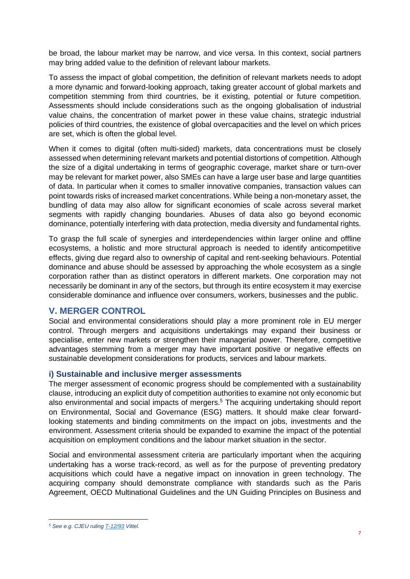be broad, the labour market may be narrow, and vice versa. In this context, social partners may bring added value to the definition of relevant labour markets.

To assess the impact of global competition, the definition of relevant markets needs to adopt a more dynamic and forward-looking approach, taking greater account of global markets and competition stemming from third countries, be it existing, potential or future competition. Assessments should include considerations such as the ongoing globalisation of industrial value chains, the concentration of market power in these value chains, strategic industrial policies of third countries, the existence of global overcapacities and the level on which prices are set, which is often the global level.

When it comes to digital (often multi-sided) markets, data concentrations must be closely assessed when determining relevant markets and potential distortions of competition. Although the size of a digital undertaking in terms of geographic coverage, market share or turn-over may be relevant for market power, also SMEs can have a large user base and large quantities of data. In particular when it comes to smaller innovative companies, transaction values can point towards risks of increased market concentrations. While being a non-monetary asset, the bundling of data may also allow for significant economies of scale across several market segments with rapidly changing boundaries. Abuses of data also go beyond economic dominance, potentially interfering with data protection, media diversity and fundamental rights.

To grasp the full scale of synergies and interdependencies within larger online and offline ecosystems, a holistic and more structural approach is needed to identify anticompetitive effects, giving due regard also to ownership of capital and rent-seeking behaviours. Potential dominance and abuse should be assessed by approaching the whole ecosystem as a single corporation rather than as distinct operators in different markets. One corporation may not necessarily be dominant in any of the sectors, but through its entire ecosystem it may exercise considerable dominance and influence over consumers, workers, businesses and the public.

# <span id="page-7-0"></span>**V. MERGER CONTROL**

Social and environmental considerations should play a more prominent role in EU merger control. Through mergers and acquisitions undertakings may expand their business or specialise, enter new markets or strengthen their managerial power. Therefore, competitive advantages stemming from a merger may have important positive or negative effects on sustainable development considerations for products, services and labour markets.

### <span id="page-7-1"></span>**i) Sustainable and inclusive merger assessments**

The merger assessment of economic progress should be complemented with a sustainability clause, introducing an explicit duty of competition authorities to examine not only economic but also environmental and social impacts of mergers. <sup>5</sup> The acquiring undertaking should report on Environmental, Social and Governance (ESG) matters. It should make clear forwardlooking statements and binding commitments on the impact on jobs, investments and the environment. Assessment criteria should be expanded to examine the impact of the potential acquisition on employment conditions and the labour market situation in the sector.

Social and environmental assessment criteria are particularly important when the acquiring undertaking has a worse track-record, as well as for the purpose of preventing predatory acquisitions which could have a negative impact on innovation in green technology. The acquiring company should demonstrate compliance with standards such as the Paris Agreement, OECD Multinational Guidelines and the UN Guiding Principles on Business and

*<sup>5</sup> See e.g. CJEU ruling [T-12/93](http://curia.europa.eu/juris/liste.jsf?td=ALL&language=en&jur=C,T&num=t-12/93) Vittel.*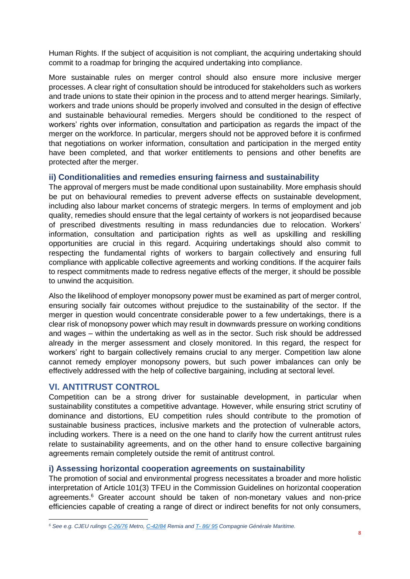Human Rights. If the subject of acquisition is not compliant, the acquiring undertaking should commit to a roadmap for bringing the acquired undertaking into compliance.

More sustainable rules on merger control should also ensure more inclusive merger processes. A clear right of consultation should be introduced for stakeholders such as workers and trade unions to state their opinion in the process and to attend merger hearings. Similarly, workers and trade unions should be properly involved and consulted in the design of effective and sustainable behavioural remedies. Mergers should be conditioned to the respect of workers' rights over information, consultation and participation as regards the impact of the merger on the workforce. In particular, mergers should not be approved before it is confirmed that negotiations on worker information, consultation and participation in the merged entity have been completed, and that worker entitlements to pensions and other benefits are protected after the merger.

### <span id="page-8-0"></span>**ii) Conditionalities and remedies ensuring fairness and sustainability**

The approval of mergers must be made conditional upon sustainability. More emphasis should be put on behavioural remedies to prevent adverse effects on sustainable development, including also labour market concerns of strategic mergers. In terms of employment and job quality, remedies should ensure that the legal certainty of workers is not jeopardised because of prescribed divestments resulting in mass redundancies due to relocation. Workers' information, consultation and participation rights as well as upskilling and reskilling opportunities are crucial in this regard. Acquiring undertakings should also commit to respecting the fundamental rights of workers to bargain collectively and ensuring full compliance with applicable collective agreements and working conditions. If the acquirer fails to respect commitments made to redress negative effects of the merger, it should be possible to unwind the acquisition.

Also the likelihood of employer monopsony power must be examined as part of merger control, ensuring socially fair outcomes without prejudice to the sustainability of the sector. If the merger in question would concentrate considerable power to a few undertakings, there is a clear risk of monopsony power which may result in downwards pressure on working conditions and wages – within the undertaking as well as in the sector. Such risk should be addressed already in the merger assessment and closely monitored. In this regard, the respect for workers' right to bargain collectively remains crucial to any merger. Competition law alone cannot remedy employer monopsony powers, but such power imbalances can only be effectively addressed with the help of collective bargaining, including at sectoral level.

### <span id="page-8-1"></span>**VI. ANTITRUST CONTROL**

Competition can be a strong driver for sustainable development, in particular when sustainability constitutes a competitive advantage. However, while ensuring strict scrutiny of dominance and distortions, EU competition rules should contribute to the promotion of sustainable business practices, inclusive markets and the protection of vulnerable actors, including workers. There is a need on the one hand to clarify how the current antitrust rules relate to sustainability agreements, and on the other hand to ensure collective bargaining agreements remain completely outside the remit of antitrust control.

### <span id="page-8-2"></span>**i) Assessing horizontal cooperation agreements on sustainability**

The promotion of social and environmental progress necessitates a broader and more holistic interpretation of Article 101(3) TFEU in the Commission Guidelines on horizontal cooperation agreements. <sup>6</sup> Greater account should be taken of non-monetary values and non-price efficiencies capable of creating a range of direct or indirect benefits for not only consumers,

*<sup>6</sup> See e.g. CJEU rulings [C-26/76](http://curia.europa.eu/juris/liste.jsf?num=C-26/76) Metro[, C-42/84](http://curia.europa.eu/juris/liste.jsf?oqp=&for=&mat=or&jge=&td=%3BALL&jur=C%2CT%2CF&num=42%252F84&page=1&dates=&pcs=Oor&lg=&pro=&nat=or&cit=none%252CC%252CCJ%252CR%252C2008E%252C%252C%252C%252C%252C%252C%252C%252C%252C%252Ctrue%252Cfalse%252Cfalse&language=en&avg=&cid=373502) Remia and T- [86/ 95](http://curia.europa.eu/juris/liste.jsf?language=en&num=T-86/95) Compagnie Générale Maritime.*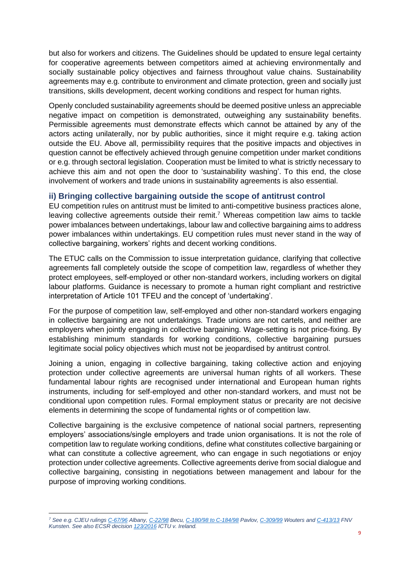but also for workers and citizens. The Guidelines should be updated to ensure legal certainty for cooperative agreements between competitors aimed at achieving environmentally and socially sustainable policy objectives and fairness throughout value chains. Sustainability agreements may e.g. contribute to environment and climate protection, green and socially just transitions, skills development, decent working conditions and respect for human rights.

Openly concluded sustainability agreements should be deemed positive unless an appreciable negative impact on competition is demonstrated, outweighing any sustainability benefits. Permissible agreements must demonstrate effects which cannot be attained by any of the actors acting unilaterally, nor by public authorities, since it might require e.g. taking action outside the EU. Above all, permissibility requires that the positive impacts and objectives in question cannot be effectively achieved through genuine competition under market conditions or e.g. through sectoral legislation. Cooperation must be limited to what is strictly necessary to achieve this aim and not open the door to 'sustainability washing'. To this end, the close involvement of workers and trade unions in sustainability agreements is also essential.

### <span id="page-9-0"></span>**ii) Bringing collective bargaining outside the scope of antitrust control**

EU competition rules on antitrust must be limited to anti-competitive business practices alone, leaving collective agreements outside their remit.<sup>7</sup> Whereas competition law aims to tackle power imbalances between undertakings, labour law and collective bargaining aims to address power imbalances within undertakings. EU competition rules must never stand in the way of collective bargaining, workers' rights and decent working conditions.

The ETUC calls on the Commission to issue interpretation guidance, clarifying that collective agreements fall completely outside the scope of competition law, regardless of whether they protect employees, self-employed or other non-standard workers, including workers on digital labour platforms. Guidance is necessary to promote a human right compliant and restrictive interpretation of Article 101 TFEU and the concept of 'undertaking'.

For the purpose of competition law, self-employed and other non-standard workers engaging in collective bargaining are not undertakings. Trade unions are not cartels, and neither are employers when jointly engaging in collective bargaining. Wage-setting is not price-fixing. By establishing minimum standards for working conditions, collective bargaining pursues legitimate social policy objectives which must not be jeopardised by antitrust control.

Joining a union, engaging in collective bargaining, taking collective action and enjoying protection under collective agreements are universal human rights of all workers. These fundamental labour rights are recognised under international and European human rights instruments, including for self-employed and other non-standard workers, and must not be conditional upon competition rules. Formal employment status or precarity are not decisive elements in determining the scope of fundamental rights or of competition law.

Collective bargaining is the exclusive competence of national social partners, representing employers' associations/single employers and trade union organisations. It is not the role of competition law to regulate working conditions, define what constitutes collective bargaining or what can constitute a collective agreement, who can engage in such negotiations or enjoy protection under collective agreements. Collective agreements derive from social dialogue and collective bargaining, consisting in negotiations between management and labour for the purpose of improving working conditions.

*<sup>7</sup> See e.g. CJEU rulings [C-67/96](http://curia.europa.eu/juris/liste.jsf?language=en&num=C-67/96) Albany[, C-22/98](http://curia.europa.eu/juris/liste.jsf?language=en&num=C-22/98) Becu, [C-180/98 to C-184/98](http://curia.europa.eu/juris/liste.jsf?language=en&num=C-180/98) Pavlov[, C-309/99](http://curia.europa.eu/juris/liste.jsf?&num=C-309/99) Wouters an[d C-413/13](http://curia.europa.eu/juris/liste.jsf?num=C-413/13) FNV Kunsten. See also ECSR decisio[n 123/2016](https://rm.coe.int/cc-123-2016-dmerits-en/1680902999) ICTU v. Ireland.*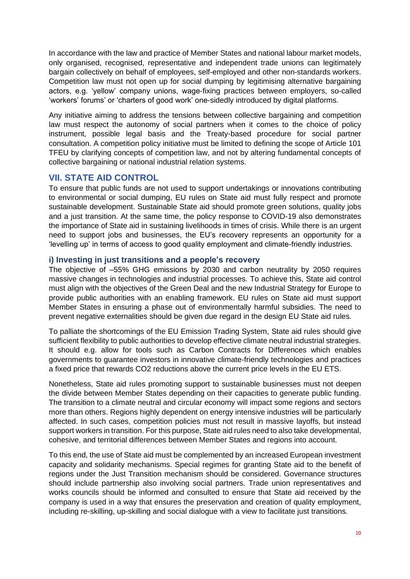In accordance with the law and practice of Member States and national labour market models, only organised, recognised, representative and independent trade unions can legitimately bargain collectively on behalf of employees, self-employed and other non-standards workers. Competition law must not open up for social dumping by legitimising alternative bargaining actors, e.g. 'yellow' company unions, wage-fixing practices between employers, so-called 'workers' forums' or 'charters of good work' one-sidedly introduced by digital platforms.

Any initiative aiming to address the tensions between collective bargaining and competition law must respect the autonomy of social partners when it comes to the choice of policy instrument, possible legal basis and the Treaty-based procedure for social partner consultation. A competition policy initiative must be limited to defining the scope of Article 101 TFEU by clarifying concepts of competition law, and not by altering fundamental concepts of collective bargaining or national industrial relation systems.

# <span id="page-10-0"></span>**VII. STATE AID CONTROL**

To ensure that public funds are not used to support undertakings or innovations contributing to environmental or social dumping, EU rules on State aid must fully respect and promote sustainable development. Sustainable State aid should promote green solutions, quality jobs and a just transition. At the same time, the policy response to COVID-19 also demonstrates the importance of State aid in sustaining livelihoods in times of crisis. While there is an urgent need to support jobs and businesses, the EU's recovery represents an opportunity for a 'levelling up' in terms of access to good quality employment and climate-friendly industries.

### <span id="page-10-1"></span>**i) Investing in just transitions and a people's recovery**

The objective of –55% GHG emissions by 2030 and carbon neutrality by 2050 requires massive changes in technologies and industrial processes. To achieve this, State aid control must align with the objectives of the Green Deal and the new Industrial Strategy for Europe to provide public authorities with an enabling framework. EU rules on State aid must support Member States in ensuring a phase out of environmentally harmful subsidies. The need to prevent negative externalities should be given due regard in the design EU State aid rules.

To palliate the shortcomings of the EU Emission Trading System, State aid rules should give sufficient flexibility to public authorities to develop effective climate neutral industrial strategies. It should e.g. allow for tools such as Carbon Contracts for Differences which enables governments to guarantee investors in innovative climate-friendly technologies and practices a fixed price that rewards CO2 reductions above the current price levels in the EU ETS.

Nonetheless, State aid rules promoting support to sustainable businesses must not deepen the divide between Member States depending on their capacities to generate public funding. The transition to a climate neutral and circular economy will impact some regions and sectors more than others. Regions highly dependent on energy intensive industries will be particularly affected. In such cases, competition policies must not result in massive layoffs, but instead support workers in transition. For this purpose, State aid rules need to also take developmental, cohesive, and territorial differences between Member States and regions into account.

To this end, the use of State aid must be complemented by an increased European investment capacity and solidarity mechanisms. Special regimes for granting State aid to the benefit of regions under the Just Transition mechanism should be considered. Governance structures should include partnership also involving social partners. Trade union representatives and works councils should be informed and consulted to ensure that State aid received by the company is used in a way that ensures the preservation and creation of quality employment, including re-skilling, up-skilling and social dialogue with a view to facilitate just transitions.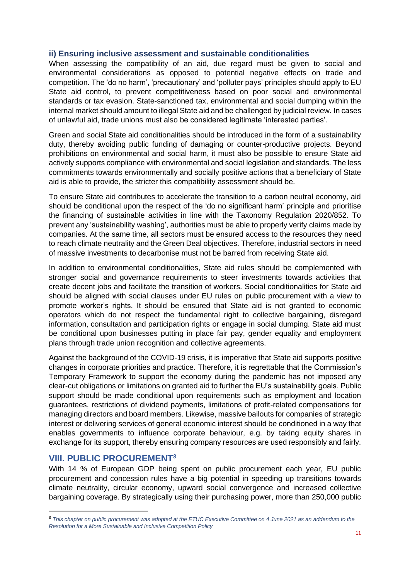### <span id="page-11-0"></span>**ii) Ensuring inclusive assessment and sustainable conditionalities**

When assessing the compatibility of an aid, due regard must be given to social and environmental considerations as opposed to potential negative effects on trade and competition. The 'do no harm', 'precautionary' and 'polluter pays' principles should apply to EU State aid control, to prevent competitiveness based on poor social and environmental standards or tax evasion. State-sanctioned tax, environmental and social dumping within the internal market should amount to illegal State aid and be challenged by judicial review. In cases of unlawful aid, trade unions must also be considered legitimate 'interested parties'.

Green and social State aid conditionalities should be introduced in the form of a sustainability duty, thereby avoiding public funding of damaging or counter-productive projects. Beyond prohibitions on environmental and social harm, it must also be possible to ensure State aid actively supports compliance with environmental and social legislation and standards. The less commitments towards environmentally and socially positive actions that a beneficiary of State aid is able to provide, the stricter this compatibility assessment should be.

To ensure State aid contributes to accelerate the transition to a carbon neutral economy, aid should be conditional upon the respect of the 'do no significant harm' principle and prioritise the financing of sustainable activities in line with the Taxonomy Regulation 2020/852. To prevent any 'sustainability washing', authorities must be able to properly verify claims made by companies. At the same time, all sectors must be ensured access to the resources they need to reach climate neutrality and the Green Deal objectives. Therefore, industrial sectors in need of massive investments to decarbonise must not be barred from receiving State aid.

In addition to environmental conditionalities, State aid rules should be complemented with stronger social and governance requirements to steer investments towards activities that create decent jobs and facilitate the transition of workers. Social conditionalities for State aid should be aligned with social clauses under EU rules on public procurement with a view to promote worker's rights. It should be ensured that State aid is not granted to economic operators which do not respect the fundamental right to collective bargaining, disregard information, consultation and participation rights or engage in social dumping. State aid must be conditional upon businesses putting in place fair pay, gender equality and employment plans through trade union recognition and collective agreements.

Against the background of the COVID-19 crisis, it is imperative that State aid supports positive changes in corporate priorities and practice. Therefore, it is regrettable that the Commission's Temporary Framework to support the economy during the pandemic has not imposed any clear-cut obligations or limitations on granted aid to further the EU's sustainability goals. Public support should be made conditional upon requirements such as employment and location guarantees, restrictions of dividend payments, limitations of profit-related compensations for managing directors and board members. Likewise, massive bailouts for companies of strategic interest or delivering services of general economic interest should be conditioned in a way that enables governments to influence corporate behaviour, e.g. by taking equity shares in exchange for its support, thereby ensuring company resources are used responsibly and fairly.

# <span id="page-11-1"></span>**VIII. PUBLIC PROCUREMENT**<sup>8</sup>

With 14 % of European GDP being spent on public procurement each year, EU public procurement and concession rules have a big potential in speeding up transitions towards climate neutrality, circular economy, upward social convergence and increased collective bargaining coverage. By strategically using their purchasing power, more than 250,000 public

<sup>8</sup> *This chapter on public procurement was adopted at the ETUC Executive Committee on 4 June 2021 as an addendum to the Resolution for a More Sustainable and Inclusive Competition Policy*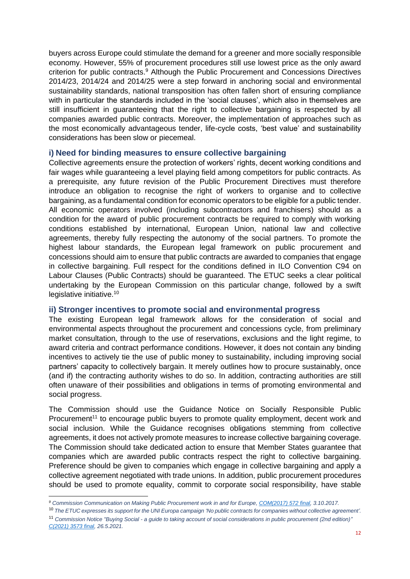buyers across Europe could stimulate the demand for a greener and more socially responsible economy. However, 55% of procurement procedures still use lowest price as the only award criterion for public contracts.<sup>9</sup> Although the Public Procurement and Concessions Directives 2014/23, 2014/24 and 2014/25 were a step forward in anchoring social and environmental sustainability standards, national transposition has often fallen short of ensuring compliance with in particular the standards included in the 'social clauses', which also in themselves are still insufficient in guaranteeing that the right to collective bargaining is respected by all companies awarded public contracts. Moreover, the implementation of approaches such as the most economically advantageous tender, life-cycle costs, 'best value' and sustainability considerations has been slow or piecemeal.

### <span id="page-12-0"></span>**i) Need for binding measures to ensure collective bargaining**

Collective agreements ensure the protection of workers' rights, decent working conditions and fair wages while guaranteeing a level playing field among competitors for public contracts. As a prerequisite, any future revision of the Public Procurement Directives must therefore introduce an obligation to recognise the right of workers to organise and to collective bargaining, as a fundamental condition for economic operators to be eligible for a public tender. All economic operators involved (including subcontractors and franchisers) should as a condition for the award of public procurement contracts be required to comply with working conditions established by international, European Union, national law and collective agreements, thereby fully respecting the autonomy of the social partners. To promote the highest labour standards, the European legal framework on public procurement and concessions should aim to ensure that public contracts are awarded to companies that engage in collective bargaining. Full respect for the conditions defined in ILO Convention C94 on Labour Clauses (Public Contracts) should be guaranteed. The ETUC seeks a clear political undertaking by the European Commission on this particular change, followed by a swift legislative initiative.<sup>10</sup>

### <span id="page-12-1"></span>**ii) Stronger incentives to promote social and environmental progress**

The existing European legal framework allows for the consideration of social and environmental aspects throughout the procurement and concessions cycle, from preliminary market consultation, through to the use of reservations, exclusions and the light regime, to award criteria and contract performance conditions. However, it does not contain any binding incentives to actively tie the use of public money to sustainability, including improving social partners' capacity to collectively bargain. It merely outlines how to procure sustainably, once (and if) the contracting authority wishes to do so. In addition, contracting authorities are still often unaware of their possibilities and obligations in terms of promoting environmental and social progress.

The Commission should use the Guidance Notice on Socially Responsible Public Procurement<sup>11</sup> to encourage public buyers to promote quality employment, decent work and social inclusion. While the Guidance recognises obligations stemming from collective agreements, it does not actively promote measures to increase collective bargaining coverage. The Commission should take dedicated action to ensure that Member States guarantee that companies which are awarded public contracts respect the right to collective bargaining. Preference should be given to companies which engage in collective bargaining and apply a collective agreement negotiated with trade unions. In addition, public procurement procedures should be used to promote equality, commit to corporate social responsibility, have stable

*<sup>9</sup> Commission Communication on Making Public Procurement work in and for Europe, [COM\(2017\) 572 final,](https://eur-lex.europa.eu/legal-content/EN/TXT/PDF/?uri=CELEX:52017DC0572&from=EN) 3.10.2017.*

<sup>10</sup> *The ETUC expresses its support for the UNI Europa campaign 'No public contracts for companies without collective agreement'.* <sup>11</sup> *Commission Notice "Buying Social - a guide to taking account of social considerations in public procurement (2nd edition)" [C\(2021\) 3573 final,](https://ec.europa.eu/docsroom/documents/45767/attachments/1/translations/en/renditions/native) 26.5.2021.*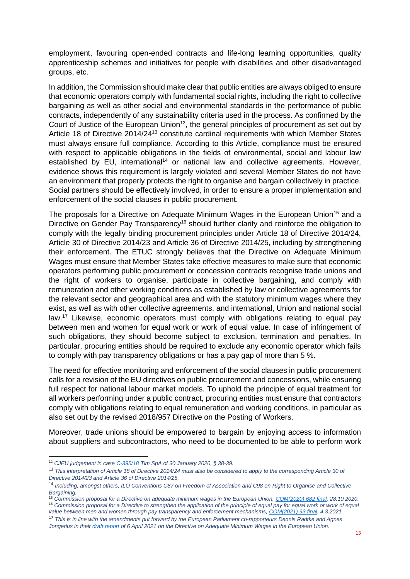employment, favouring open-ended contracts and life-long learning opportunities, quality apprenticeship schemes and initiatives for people with disabilities and other disadvantaged groups, etc.

In addition, the Commission should make clear that public entities are always obliged to ensure that economic operators comply with fundamental social rights, including the right to collective bargaining as well as other social and environmental standards in the performance of public contracts, independently of any sustainability criteria used in the process. As confirmed by the Court of Justice of the European Union<sup>12</sup>, the general principles of procurement as set out by Article 18 of Directive 2014/24<sup>13</sup> constitute cardinal requirements with which Member States must always ensure full compliance. According to this Article, compliance must be ensured with respect to applicable obligations in the fields of environmental, social and labour law established by EU, international<sup>14</sup> or national law and collective agreements. However, evidence shows this requirement is largely violated and several Member States do not have an environment that properly protects the right to organise and bargain collectively in practice. Social partners should be effectively involved, in order to ensure a proper implementation and enforcement of the social clauses in public procurement.

The proposals for a Directive on Adequate Minimum Wages in the European Union<sup>15</sup> and a Directive on Gender Pay Transparency<sup>16</sup> should further clarify and reinforce the obligation to comply with the legally binding procurement principles under Article 18 of Directive 2014/24, Article 30 of Directive 2014/23 and Article 36 of Directive 2014/25, including by strengthening their enforcement. The ETUC strongly believes that the Directive on Adequate Minimum Wages must ensure that Member States take effective measures to make sure that economic operators performing public procurement or concession contracts recognise trade unions and the right of workers to organise, participate in collective bargaining, and comply with remuneration and other working conditions as established by law or collective agreements for the relevant sector and geographical area and with the statutory minimum wages where they exist, as well as with other collective agreements, and international, Union and national social law.<sup>17</sup> Likewise, economic operators must comply with obligations relating to equal pay between men and women for equal work or work of equal value. In case of infringement of such obligations, they should become subject to exclusion, termination and penalties. In particular, procuring entities should be required to exclude any economic operator which fails to comply with pay transparency obligations or has a pay gap of more than 5 %.

The need for effective monitoring and enforcement of the social clauses in public procurement calls for a revision of the EU directives on public procurement and concessions, while ensuring full respect for national labour market models. To uphold the principle of equal treatment for all workers performing under a public contract, procuring entities must ensure that contractors comply with obligations relating to equal remuneration and working conditions, in particular as also set out by the revised 2018/957 Directive on the Posting of Workers.

Moreover, trade unions should be empowered to bargain by enjoying access to information about suppliers and subcontractors, who need to be documented to be able to perform work

<sup>12</sup> *CJEU judgement in case [C-395/18](https://curia.europa.eu/juris/document/document.jsf?text=&docid=222884&pageIndex=0&doclang=EN&mode=lst&dir=&occ=first&part=1&cid=6102995) Tim SpA of 30 January 2020, § 38-39.*

<sup>13</sup> *This interpretation of Article 18 of Directive 2014/24 must also be considered to apply to the corresponding Article 30 of Directive 2014/23 and Article 36 of Directive 2014/25.*

<sup>14</sup> *Including, amongst others, ILO Conventions C87 on Freedom of Association and C98 on Right to Organise and Collective Bargaining.*

<sup>15</sup> *Commission proposal for a Directive on adequate minimum wages in the European Union, [COM\(2020\) 682 final,](https://eur-lex.europa.eu/legal-content/EN/TXT/PDF/?uri=CELEX:52020PC0682&from=EN) 28.10.2020.* <sup>16</sup> Commission proposal for a Directive to strengthen the application of the principle of equal pay for equal work or work of equal *value between men and women through pay transparency and enforcement mechanisms[, COM\(2021\) 93 final,](https://ec.europa.eu/info/sites/default/files/aid_development_cooperation_fundamental_rights/com-2021-93_en_0.pdf) 4.3.2021.*

<sup>17</sup> *This is in line with the amendments put forward by the European Parliament co-rapporteurs Dennis Radtke and Agnes Jongerius in thei[r draft report](https://www.europarl.europa.eu/doceo/document/EMPL-PR-689873_EN.pdf) of 6 April 2021 on the Directive on Adequate Minimum Wages in the European Union.*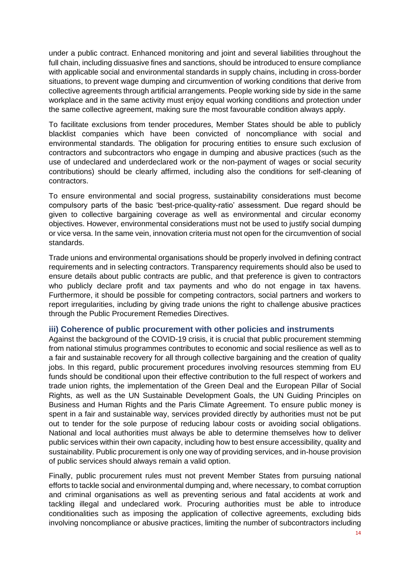under a public contract. Enhanced monitoring and joint and several liabilities throughout the full chain, including dissuasive fines and sanctions, should be introduced to ensure compliance with applicable social and environmental standards in supply chains, including in cross-border situations, to prevent wage dumping and circumvention of working conditions that derive from collective agreements through artificial arrangements. People working side by side in the same workplace and in the same activity must enjoy equal working conditions and protection under the same collective agreement, making sure the most favourable condition always apply.

To facilitate exclusions from tender procedures, Member States should be able to publicly blacklist companies which have been convicted of noncompliance with social and environmental standards. The obligation for procuring entities to ensure such exclusion of contractors and subcontractors who engage in dumping and abusive practices (such as the use of undeclared and underdeclared work or the non-payment of wages or social security contributions) should be clearly affirmed, including also the conditions for self-cleaning of contractors.

To ensure environmental and social progress, sustainability considerations must become compulsory parts of the basic 'best-price-quality-ratio' assessment. Due regard should be given to collective bargaining coverage as well as environmental and circular economy objectives. However, environmental considerations must not be used to justify social dumping or vice versa. In the same vein, innovation criteria must not open for the circumvention of social standards.

Trade unions and environmental organisations should be properly involved in defining contract requirements and in selecting contractors. Transparency requirements should also be used to ensure details about public contracts are public, and that preference is given to contractors who publicly declare profit and tax payments and who do not engage in tax havens. Furthermore, it should be possible for competing contractors, social partners and workers to report irregularities, including by giving trade unions the right to challenge abusive practices through the Public Procurement Remedies Directives.

### <span id="page-14-0"></span>**iii) Coherence of public procurement with other policies and instruments**

Against the background of the COVID-19 crisis, it is crucial that public procurement stemming from national stimulus programmes contributes to economic and social resilience as well as to a fair and sustainable recovery for all through collective bargaining and the creation of quality jobs. In this regard, public procurement procedures involving resources stemming from EU funds should be conditional upon their effective contribution to the full respect of workers and trade union rights, the implementation of the Green Deal and the European Pillar of Social Rights, as well as the UN Sustainable Development Goals, the UN Guiding Principles on Business and Human Rights and the Paris Climate Agreement. To ensure public money is spent in a fair and sustainable way, services provided directly by authorities must not be put out to tender for the sole purpose of reducing labour costs or avoiding social obligations. National and local authorities must always be able to determine themselves how to deliver public services within their own capacity, including how to best ensure accessibility, quality and sustainability. Public procurement is only one way of providing services, and in-house provision of public services should always remain a valid option.

Finally, public procurement rules must not prevent Member States from pursuing national efforts to tackle social and environmental dumping and, where necessary, to combat corruption and criminal organisations as well as preventing serious and fatal accidents at work and tackling illegal and undeclared work. Procuring authorities must be able to introduce conditionalities such as imposing the application of collective agreements, excluding bids involving noncompliance or abusive practices, limiting the number of subcontractors including